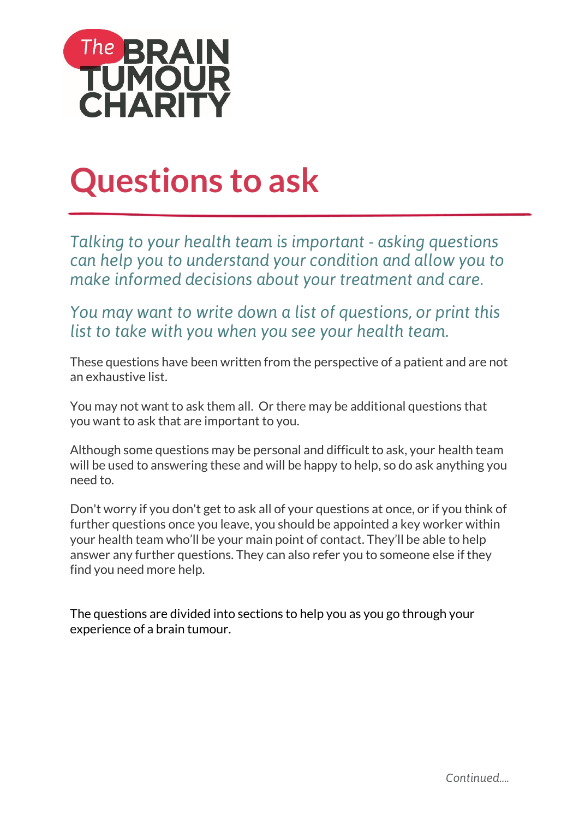

# **Questions to ask**

*Talking to your health team is important - asking questions can help you to understand your condition and allow you to make informed decisions about your treatment and care.* 

*You may want to write down a list of questions, or print this list to take with you when you see your health team.*

These questions have been written from the perspective of a patient and are not an exhaustive list.

You may not want to ask them all. Or there may be additional questions that you want to ask that are important to you.

Although some questions may be personal and difficult to ask, your health team will be used to answering these and will be happy to help, so do ask anything you need to.

Don't worry if you don't get to ask all of your questions at once, or if you think of further questions once you leave, you should be appointed a key worker within your health team who'll be your main point of contact. They'll be able to help answer any further questions. They can also refer you to someone else if they find you need more help.

The questions are divided into sections to help you as you go through your experience of a brain tumour.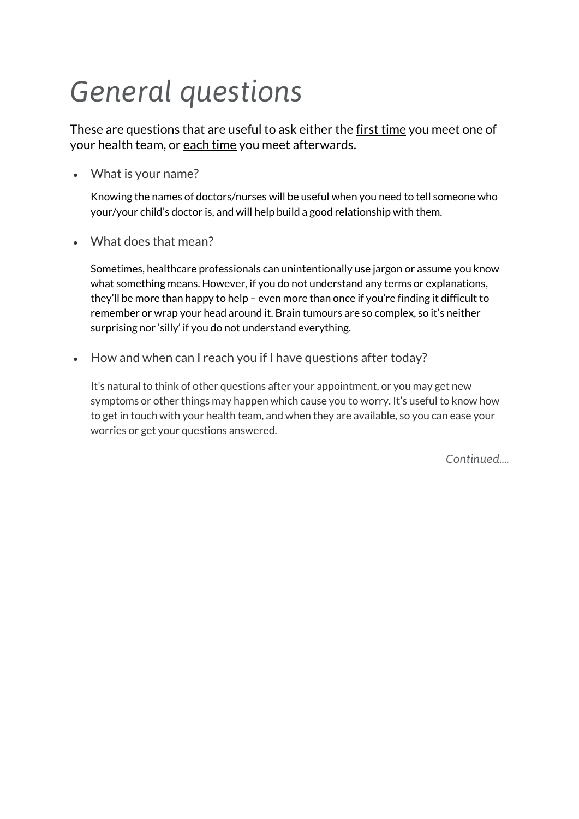### *General questions*

These are questions that are useful to ask either the first time you meet one of your health team, or each time you meet afterwards.

What is your name?

Knowing the names of doctors/nurses will be useful when you need to tell someone who your/your child's doctor is, and will help build a good relationship with them.

What does that mean?

Sometimes, healthcare professionals can unintentionally use jargon or assume you know what something means. However, if you do not understand any terms or explanations, they'll be more than happy to help – even more than once if you're finding it difficult to remember or wrap your head around it. Brain tumours are so complex, so it's neither surprising nor 'silly' if you do not understand everything.

• How and when can I reach you if I have questions after today?

It's natural to think of other questions after your appointment, or you may get new symptoms or other things may happen which cause you to worry. It's useful to know how to get in touch with your health team, and when they are available, so you can ease your worries or get your questions answered.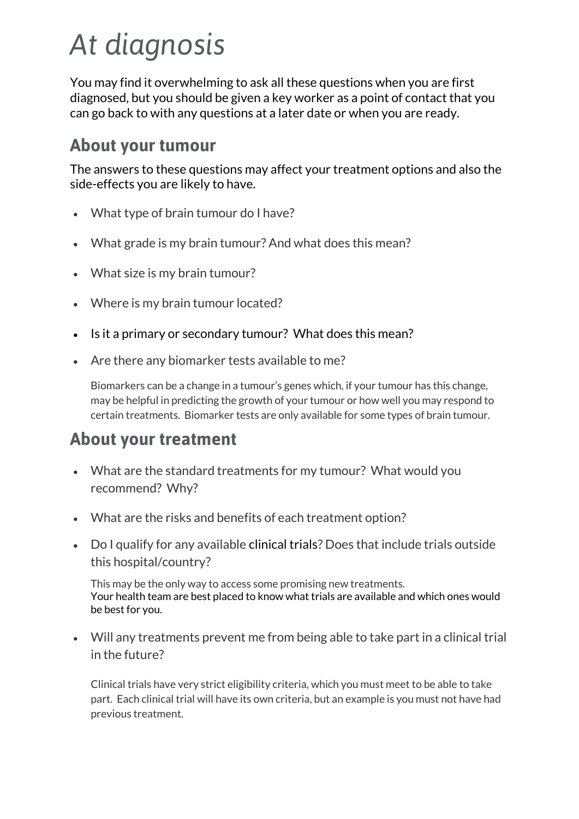# *At diagnosis*

You may find it overwhelming to ask all these questions when you are first diagnosed, but you should be given a key worker as a point of contact that you can go back to with any questions at a later date or when you are ready.

#### **About your tumour**

The answers to these questions may affect your treatment options and also the side-effects you are likely to have.

- What type of brain tumour do I have?
- What grade is my brain tumour? And what does this mean?
- What size is my brain tumour?
- Where is my brain tumour located?
- Is it a primary or secondary tumour? What does this mean?
- Are there any biomarker tests available to me?

Biomarkers can be a change in a tumour's genes which, if your tumour has this change, may be helpful in predicting the growth of your tumour or how well you may respond to certain treatments. Biomarker tests are only available for some types of brain tumour.

#### **About your treatment**

- What are the standard treatments for my tumour? What would you recommend? Why?
- What are the risks and benefits of each treatment option?
- Do I qualify for any available clinical trials? Does that include trials outside this hospital/country?

This may be the only way to access some promising new treatments. Your health team are best placed to know what trials are available and which ones would be best for you.

 Will any treatments prevent me from being able to take part in a clinical trial in the future?

Clinical trials have very strict eligibility criteria, which you must meet to be able to take part. Each clinical trial will have its own criteria, but an example is you must not have had previous treatment.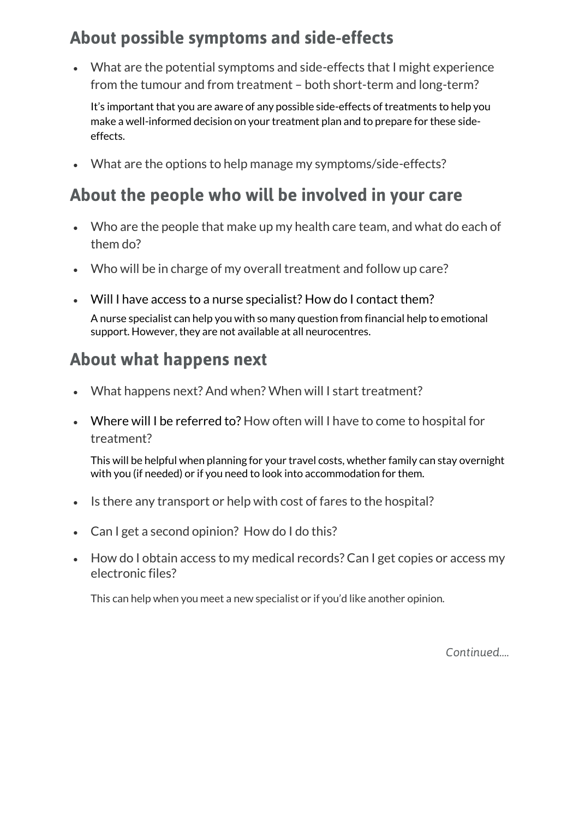#### **About possible symptoms and side-effects**

 What are the potential symptoms and side-effects that I might experience from the tumour and from treatment – both short-term and long-term?

It's important that you are aware of any possible side-effects of treatments to help you make a well-informed decision on your treatment plan and to prepare for these sideeffects.

What are the options to help manage my symptoms/side-effects?

#### **About the people who will be involved in your care**

- Who are the people that make up my health care team, and what do each of them do?
- Who will be in charge of my overall treatment and follow up care?
- Will I have access to a nurse specialist? How do I contact them?

A nurse specialist can help you with so many question from financial help to emotional support. However, they are not available at all neurocentres.

#### **About what happens next**

- What happens next? And when? When will I start treatment?
- Where will I be referred to? How often will I have to come to hospital for treatment?

This will be helpful when planning for your travel costs, whether family can stay overnight with you (if needed) or if you need to look into accommodation for them.

- Is there any transport or help with cost of fares to the hospital?
- Can I get a second opinion? How do I do this?
- How do I obtain access to my medical records? Can I get copies or access my electronic files?

This can help when you meet a new specialist or if you'd like another opinion.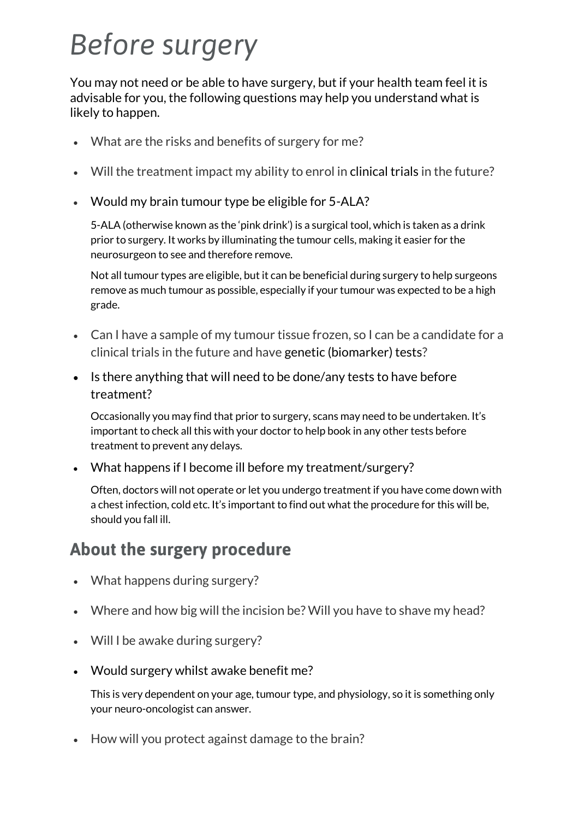## *Before surgery*

You may not need or be able to have surgery, but if your health team feel it is advisable for you, the following questions may help you understand what is likely to happen.

- What are the risks and benefits of surgery for me?
- Will the treatment impact my ability to enrol in clinical trials in the future?
- Would my brain tumour type be eligible for 5-ALA?

5-ALA (otherwise known as the 'pink drink') is a surgical tool, which is taken as a drink prior to surgery. It works by illuminating the tumour cells, making it easier for the neurosurgeon to see and therefore remove.

Not all tumour types are eligible, but it can be beneficial during surgery to help surgeons remove as much tumour as possible, especially if your tumour was expected to be a high grade.

- Can I have a sample of my tumour tissue frozen, so I can be a candidate for a clinical trials in the future and have genetic (biomarker) tests?
- Is there anything that will need to be done/any tests to have before treatment?

Occasionally you may find that prior to surgery, scans may need to be undertaken. It's important to check all this with your doctor to help book in any other tests before treatment to prevent any delays.

What happens if I become ill before my treatment/surgery?

Often, doctors will not operate or let you undergo treatment if you have come down with a chest infection, cold etc. It's important to find out what the procedure for this will be, should you fall ill.

#### **About the surgery procedure**

- What happens during surgery?
- Where and how big will the incision be? Will you have to shave my head?
- Will I be awake during surgery?
- Would surgery whilst awake benefit me?

This is very dependent on your age, tumour type, and physiology, so it is something only your neuro-oncologist can answer.

• How will you protect against damage to the brain?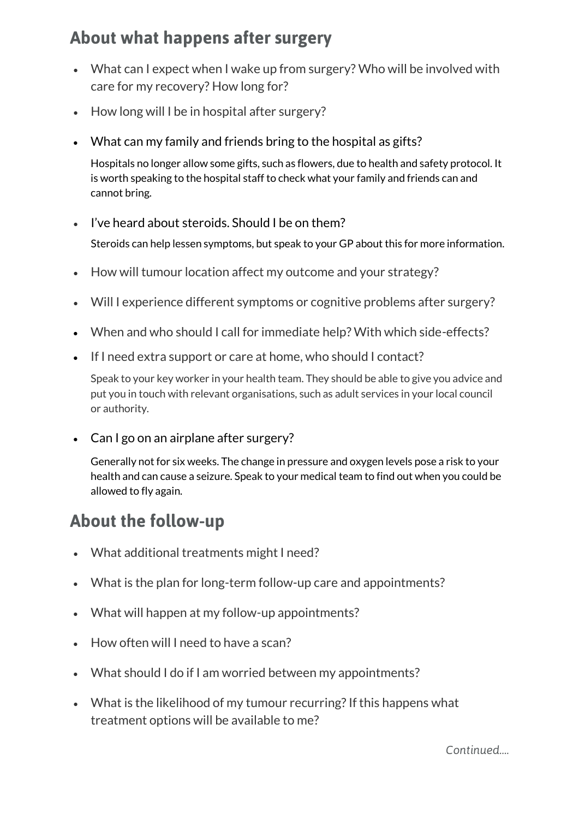#### **About what happens after surgery**

- What can I expect when I wake up from surgery? Who will be involved with care for my recovery? How long for?
- How long will I be in hospital after surgery?
- What can my family and friends bring to the hospital as gifts?

Hospitals no longer allow some gifts, such as flowers, due to health and safety protocol. It is worth speaking to the hospital staff to check what your family and friends can and cannot bring.

- I've heard about steroids. Should I be on them? Steroids can help lessen symptoms, but speak to your GP about this for more information.
- How will tumour location affect my outcome and your strategy?
- Will I experience different symptoms or cognitive problems after surgery?
- When and who should I call for immediate help? With which side-effects?
- If I need extra support or care at home, who should I contact?

Speak to your key worker in your health team. They should be able to give you advice and put you in touch with relevant organisations, such as adult services in your local council or authority.

• Can I go on an airplane after surgery?

Generally not for six weeks. The change in pressure and oxygen levels pose a risk to your health and can cause a seizure. Speak to your medical team to find out when you could be allowed to fly again.

#### **About the follow-up**

- What additional treatments might I need?
- What is the plan for long-term follow-up care and appointments?
- What will happen at my follow-up appointments?
- How often will I need to have a scan?
- What should I do if I am worried between my appointments?
- What is the likelihood of my tumour recurring? If this happens what treatment options will be available to me?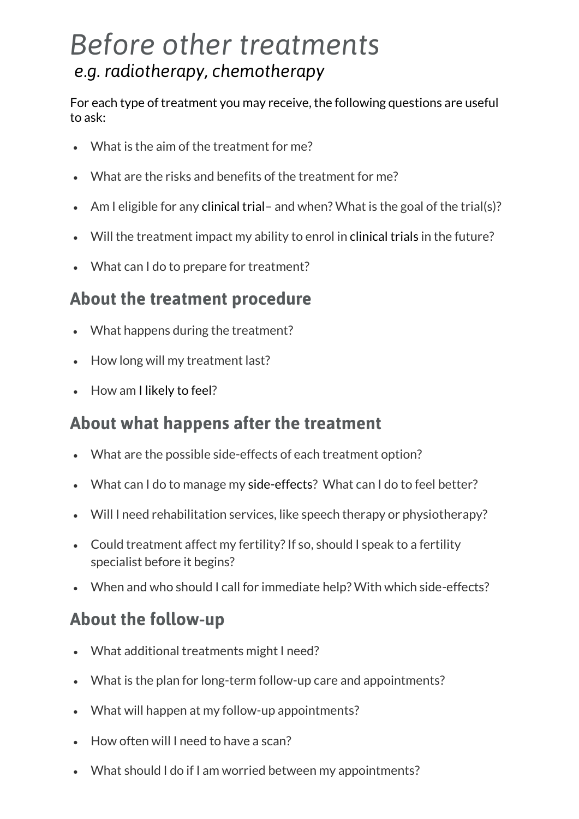### *Before other treatments e.g. radiotherapy, chemotherapy*

For each type of treatment you may receive, the following questions are useful to ask:

- What is the aim of the treatment for me?
- What are the risks and benefits of the treatment for me?
- Am I eligible for any clinical trial– and when? What is the goal of the trial(s)?
- Will the treatment impact my ability to enrol in clinical trials in the future?
- What can I do to prepare for treatment?

#### **About the treatment procedure**

- What happens during the treatment?
- How long will my treatment last?
- How am I likely to feel?

#### **About what happens after the treatment**

- What are the possible side-effects of each treatment option?
- What can I do to manage my side-effects? What can I do to feel better?
- Will I need rehabilitation services, like speech therapy or physiotherapy?
- Could treatment affect my fertility? If so, should I speak to a fertility specialist before it begins?
- When and who should I call for immediate help? With which side-effects?

#### **About the follow-up**

- What additional treatments might I need?
- What is the plan for long-term follow-up care and appointments?
- What will happen at my follow-up appointments?
- How often will I need to have a scan?
- What should I do if I am worried between my appointments?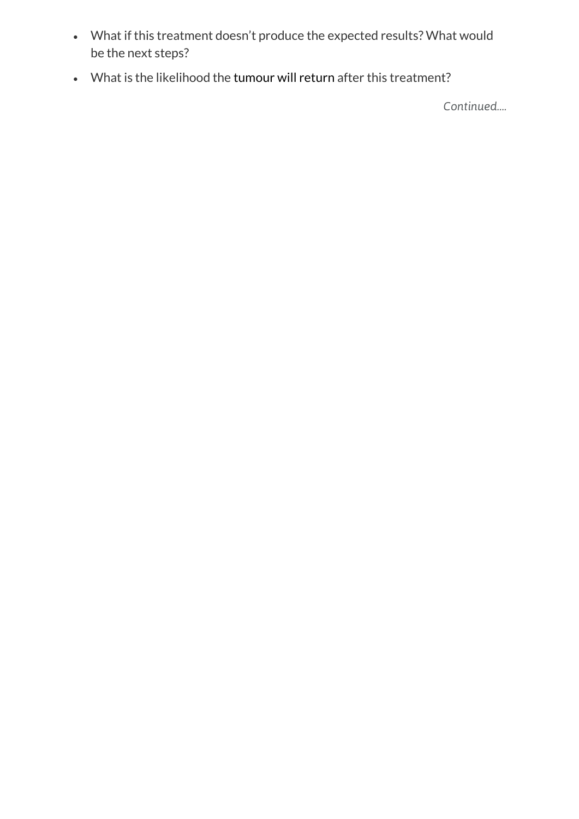- What if this treatment doesn't produce the expected results? What would be the next steps?
- What is the likelihood the tumour will return after this treatment?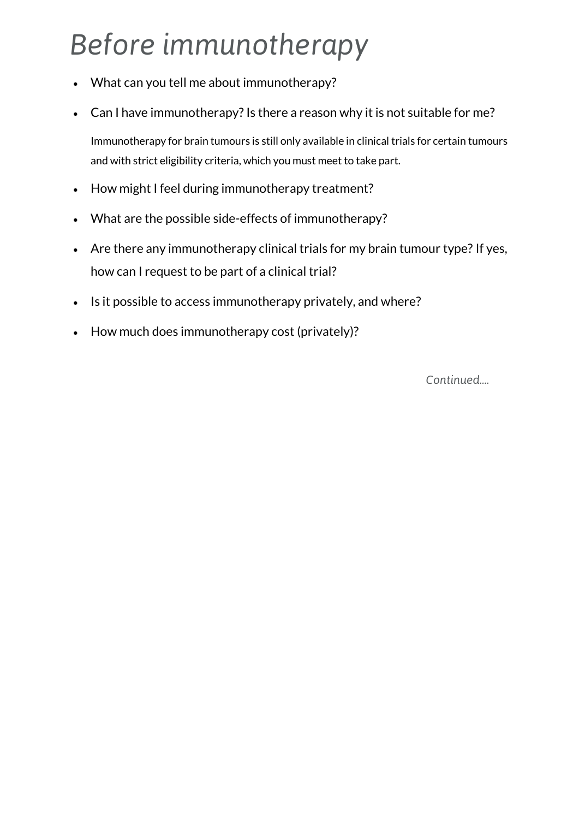## *Before immunotherapy*

- What can you tell me about immunotherapy?
- Can I have immunotherapy? Is there a reason why it is not suitable for me?

Immunotherapy for brain tumours is still only available in clinical trials for certain tumours and with strict eligibility criteria, which you must meet to take part.

- How might I feel during immunotherapy treatment?
- What are the possible side-effects of immunotherapy?
- Are there any immunotherapy clinical trials for my brain tumour type? If yes, how can I request to be part of a clinical trial?
- Is it possible to access immunotherapy privately, and where?
- How much does immunotherapy cost (privately)?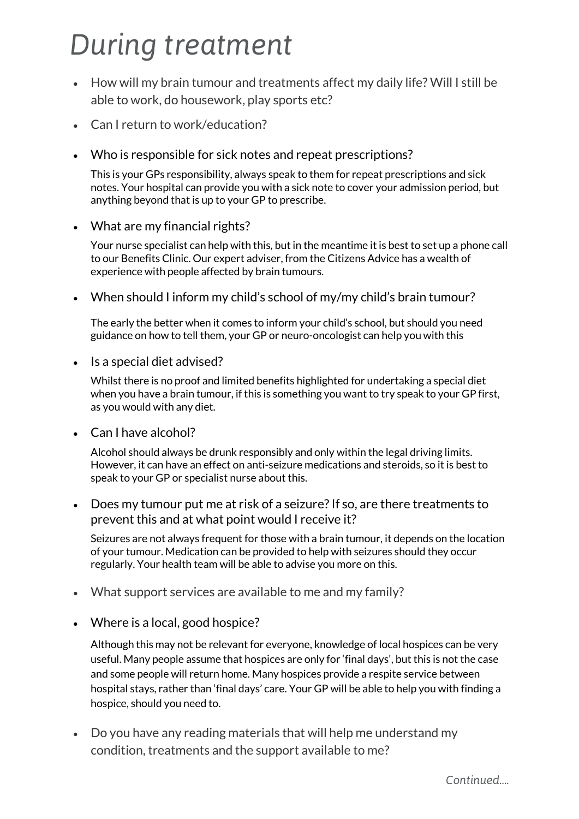### *During treatment*

- How will my brain tumour and treatments affect my daily life? Will I still be able to work, do housework, play sports etc?
- Can I return to work/education?
- Who is responsible for sick notes and repeat prescriptions?

This is your GPs responsibility, always speak to them for repeat prescriptions and sick notes. Your hospital can provide you with a sick note to cover your admission period, but anything beyond that is up to your GP to prescribe.

What are my financial rights?

Your nurse specialist can help with this, but in the meantime it is best to set up a phone call to our Benefits Clinic. Our expert adviser, from the Citizens Advice has a wealth of experience with people affected by brain tumours.

When should I inform my child's school of my/my child's brain tumour?

The early the better when it comes to inform your child's school, but should you need guidance on how to tell them, your GP or neuro-oncologist can help you with this

• Is a special diet advised?

Whilst there is no proof and limited benefits highlighted for undertaking a special diet when you have a brain tumour, if this is something you want to try speak to your GP first, as you would with any diet.

• Can I have alcohol?

Alcohol should always be drunk responsibly and only within the legal driving limits. However, it can have an effect on anti-seizure medications and steroids, so it is best to speak to your GP or specialist nurse about this.

 Does my tumour put me at risk of a seizure? If so, are there treatments to prevent this and at what point would I receive it?

Seizures are not always frequent for those with a brain tumour, it depends on the location of your tumour. Medication can be provided to help with seizures should they occur regularly. Your health team will be able to advise you more on this.

- What support services are available to me and my family?
- Where is a local, good hospice?

Although this may not be relevant for everyone, knowledge of local hospices can be very useful. Many people assume that hospices are only for 'final days', but this is not the case and some people will return home. Many hospices provide a respite service between hospital stays, rather than 'final days' care. Your GP will be able to help you with finding a hospice, should you need to.

 Do you have any reading materials that will help me understand my condition, treatments and the support available to me?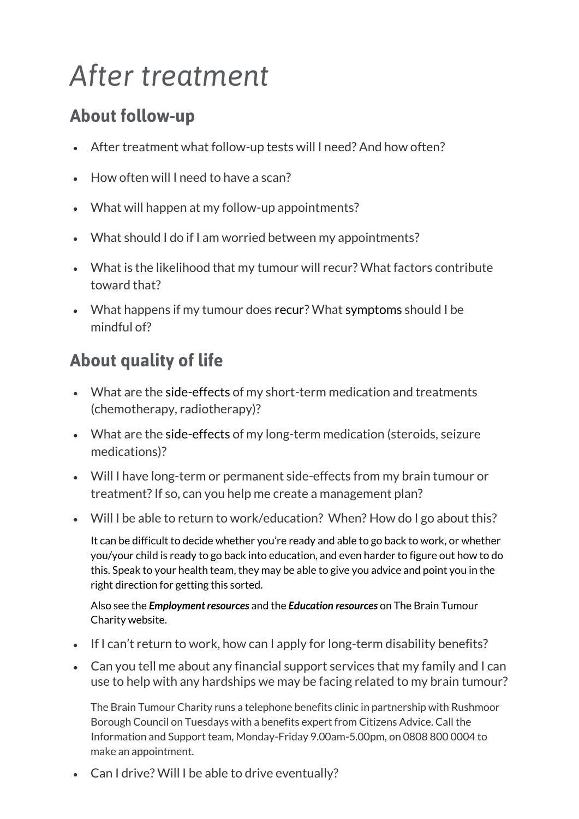## *After treatment*

#### **About follow-up**

- After treatment what follow-up tests will I need? And how often?
- How often will I need to have a scan?
- What will happen at my follow-up appointments?
- What should I do if I am worried between my appointments?
- What is the likelihood that my tumour will recur? What factors contribute toward that?
- What happens if my tumour does recur? What symptoms should I be mindful of?

#### **About quality of life**

- What are the side-effects of my short-term medication and treatments (chemotherapy, radiotherapy)?
- What are the side-effects of my long-term medication (steroids, seizure medications)?
- Will I have long-term or permanent side-effects from my brain tumour or treatment? If so, can you help me create a management plan?
- Will I be able to return to work/education? When? How do I go about this?

It can be difficult to decide whether you're ready and able to go back to work, or whether you/your child is ready to go back into education, and even harder to figure out how to do this. Speak to your health team, they may be able to give you advice and point you in the right direction for getting this sorted.

Also see the *[Employment resources](https://www.thebraintumourcharity.org/understanding-brain-tumours/living-with-a-brain-tumour/employment-and-brain-tumours/)* and the *[Education resources](https://www.thebraintumourcharity.org/get-support/children-and-families-service/education-resources/)* on The Brain Tumour Charity website.

- If I can't return to work, how can I apply for long-term disability benefits?
- Can you tell me about any financial support services that my family and I can use to help with any hardships we may be facing related to my brain tumour?

The Brain Tumour Charity runs a telephone benefits clinic in partnership with Rushmoor Borough Council on Tuesdays with a benefits expert from Citizens Advice. Call the Information and Support team, Monday-Friday 9.00am-5.00pm, on 0808 800 0004 to make an appointment.

Can I drive? Will I be able to drive eventually?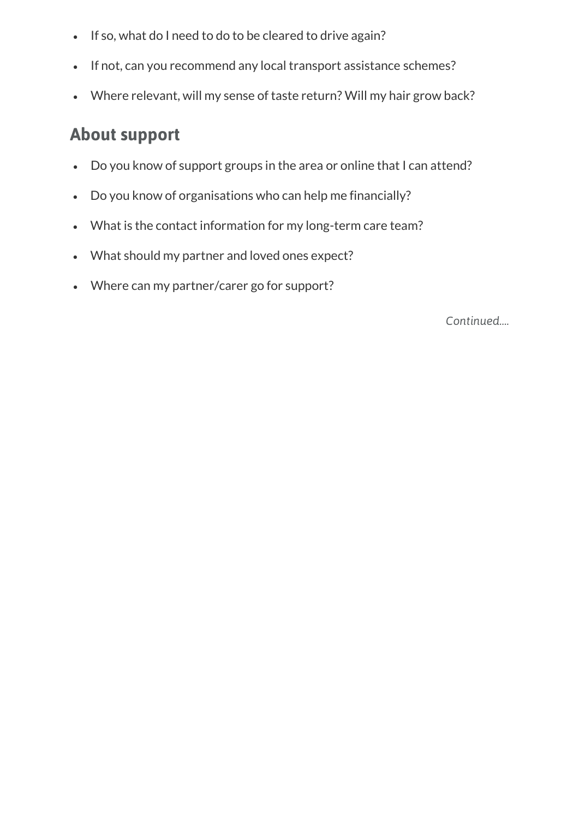- If so, what do I need to do to be cleared to drive again?
- If not, can you recommend any local transport assistance schemes?
- Where relevant, will my sense of taste return? Will my hair grow back?

#### **About support**

- Do you know of support groups in the area or online that I can attend?
- Do you know of organisations who can help me financially?
- What is the contact information for my long-term care team?
- What should my partner and loved ones expect?
- Where can my partner/carer go for support?